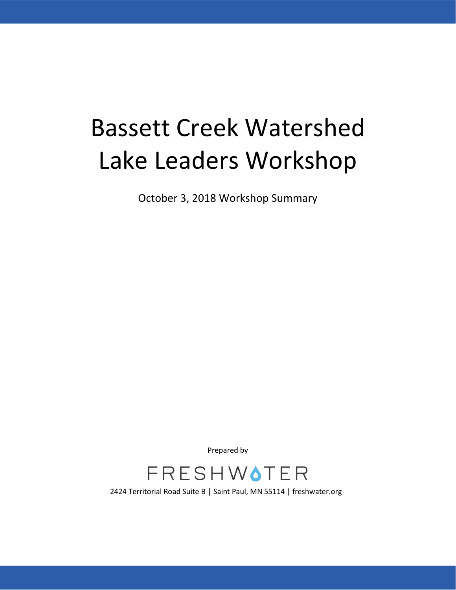# Bassett Creek Watershed Lake Leaders Workshop

October 3, 2018 Workshop Summary

Prepared by



2424 Territorial Road Suite B │ Saint Paul, MN 55114 | freshwater.org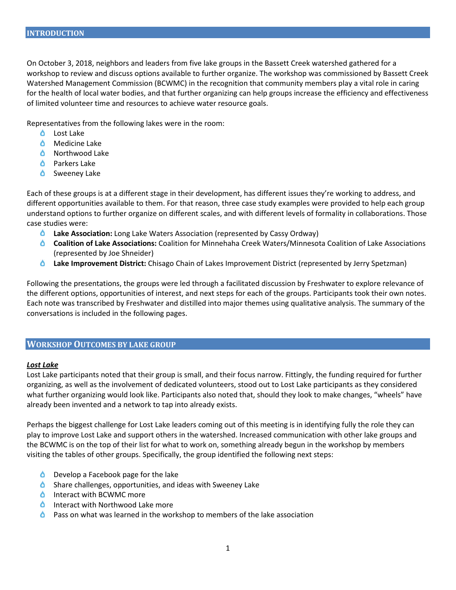On October 3, 2018, neighbors and leaders from five lake groups in the Bassett Creek watershed gathered for a workshop to review and discuss options available to further organize. The workshop was commissioned by Bassett Creek Watershed Management Commission (BCWMC) in the recognition that community members play a vital role in caring for the health of local water bodies, and that further organizing can help groups increase the efficiency and effectiveness of limited volunteer time and resources to achieve water resource goals.

Representatives from the following lakes were in the room:

- ە Lost Lake
- *O* Medicine Lake
- **b** Northwood Lake
- **C** Parkers Lake
- Sweeney Lake

Each of these groups is at a different stage in their development, has different issues they're working to address, and different opportunities available to them. For that reason, three case study examples were provided to help each group understand options to further organize on different scales, and with different levels of formality in collaborations. Those case studies were:

- **Lake Association:** Long Lake Waters Association (represented by Cassy Ordway)
- **Coalition of Lake Associations:** Coalition for Minnehaha Creek Waters/Minnesota Coalition of Lake Associations (represented by Joe Shneider)
- **Lake Improvement District:** Chisago Chain of Lakes Improvement District (represented by Jerry Spetzman)

Following the presentations, the groups were led through a facilitated discussion by Freshwater to explore relevance of the different options, opportunities of interest, and next steps for each of the groups. Participants took their own notes. Each note was transcribed by Freshwater and distilled into major themes using qualitative analysis. The summary of the conversations is included in the following pages.

#### **WORKSHOP OUTCOMES BY LAKE GROUP**

#### *Lost Lake*

Lost Lake participants noted that their group is small, and their focus narrow. Fittingly, the funding required for further organizing, as well as the involvement of dedicated volunteers, stood out to Lost Lake participants as they considered what further organizing would look like. Participants also noted that, should they look to make changes, "wheels" have already been invented and a network to tap into already exists.

Perhaps the biggest challenge for Lost Lake leaders coming out of this meeting is in identifying fully the role they can play to improve Lost Lake and support others in the watershed. Increased communication with other lake groups and the BCWMC is on the top of their list for what to work on, something already begun in the workshop by members visiting the tables of other groups. Specifically, the group identified the following next steps:

- **O** Develop a Facebook page for the lake
- **O** Share challenges, opportunities, and ideas with Sweeney Lake
- **C** Interact with BCWMC more
- **Interact with Northwood Lake more**
- Δ. Pass on what was learned in the workshop to members of the lake association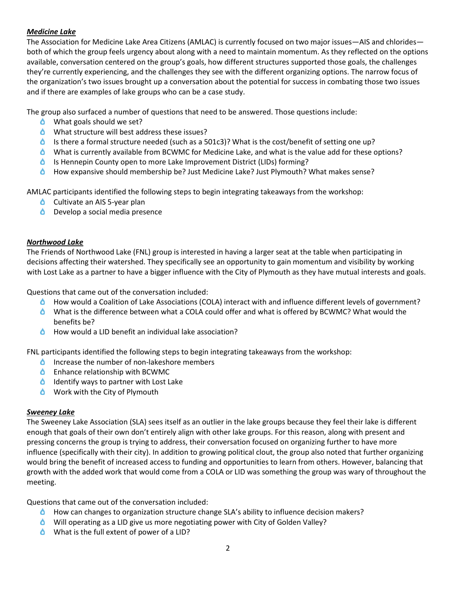# *Medicine Lake*

The Association for Medicine Lake Area Citizens (AMLAC) is currently focused on two major issues—AIS and chlorides both of which the group feels urgency about along with a need to maintain momentum. As they reflected on the options available, conversation centered on the group's goals, how different structures supported those goals, the challenges they're currently experiencing, and the challenges they see with the different organizing options. The narrow focus of the organization's two issues brought up a conversation about the potential for success in combating those two issues and if there are examples of lake groups who can be a case study.

The group also surfaced a number of questions that need to be answered. Those questions include:

- What goals should we set?
- What structure will best address these issues?
- Is there a formal structure needed (such as a 501c3)? What is the cost/benefit of setting one up?
- What is currently available from BCWMC for Medicine Lake, and what is the value add for these options?
- Is Hennepin County open to more Lake Improvement District (LIDs) forming?
- How expansive should membership be? Just Medicine Lake? Just Plymouth? What makes sense?

AMLAC participants identified the following steps to begin integrating takeaways from the workshop:

- **Cultivate an AIS 5-year plan**
- **O** Develop a social media presence

## *Northwood Lake*

The Friends of Northwood Lake (FNL) group is interested in having a larger seat at the table when participating in decisions affecting their watershed. They specifically see an opportunity to gain momentum and visibility by working with Lost Lake as a partner to have a bigger influence with the City of Plymouth as they have mutual interests and goals.

Questions that came out of the conversation included:

- ٥ How would a Coalition of Lake Associations (COLA) interact with and influence different levels of government?
- What is the difference between what a COLA could offer and what is offered by BCWMC? What would the benefits be?
- How would a LID benefit an individual lake association? ە

FNL participants identified the following steps to begin integrating takeaways from the workshop:

- δ. Increase the number of non-lakeshore members
- **C** Enhance relationship with BCWMC
- $\bullet$  Identify ways to partner with Lost Lake
- **O** Work with the City of Plymouth

### *Sweeney Lake*

The Sweeney Lake Association (SLA) sees itself as an outlier in the lake groups because they feel their lake is different enough that goals of their own don't entirely align with other lake groups. For this reason, along with present and pressing concerns the group is trying to address, their conversation focused on organizing further to have more influence (specifically with their city). In addition to growing political clout, the group also noted that further organizing would bring the benefit of increased access to funding and opportunities to learn from others. However, balancing that growth with the added work that would come from a COLA or LID was something the group was wary of throughout the meeting.

Questions that came out of the conversation included:

- **C** How can changes to organization structure change SLA's ability to influence decision makers?
- Will operating as a LID give us more negotiating power with City of Golden Valley?
- What is the full extent of power of a LID?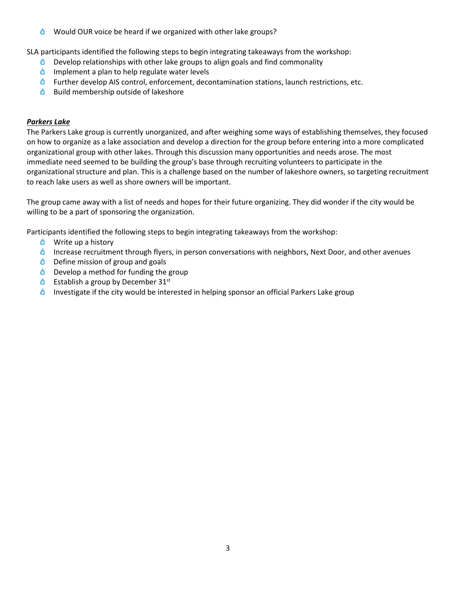Would OUR voice be heard if we organized with other lake groups?

SLA participants identified the following steps to begin integrating takeaways from the workshop:

- ە Develop relationships with other lake groups to align goals and find commonality
- $\bullet$  Implement a plan to help regulate water levels
- **C** Further develop AIS control, enforcement, decontamination stations, launch restrictions, etc.
- $\bullet$  Build membership outside of lakeshore

### *Parkers Lake*

The Parkers Lake group is currently unorganized, and after weighing some ways of establishing themselves, they focused on how to organize as a lake association and develop a direction for the group before entering into a more complicated organizational group with other lakes. Through this discussion many opportunities and needs arose. The most immediate need seemed to be building the group's base through recruiting volunteers to participate in the organizational structure and plan. This is a challenge based on the number of lakeshore owners, so targeting recruitment to reach lake users as well as shore owners will be important.

The group came away with a list of needs and hopes for their future organizing. They did wonder if the city would be willing to be a part of sponsoring the organization.

Participants identified the following steps to begin integrating takeaways from the workshop:

- **O** Write up a history
- **Increase recruitment through flyers, in person conversations with neighbors, Next Door, and other avenues**
- **b** Define mission of group and goals
- $\bullet$  Develop a method for funding the group
- $\bullet$  Establish a group by December 31st
- Investigate if the city would be interested in helping sponsor an official Parkers Lake group